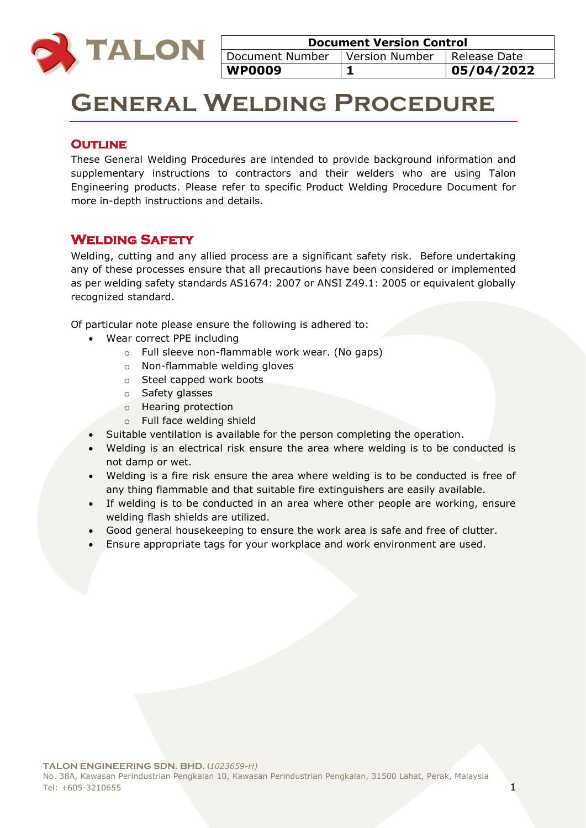

**WP0009 1 05/04/2022**

# **General Welding Procedure**

# **OUTLINE**

These General Welding Procedures are intended to provide background information and supplementary instructions to contractors and their welders who are using Talon Engineering products. Please refer to specific Product Welding Procedure Document for more in-depth instructions and details.

# **Welding Safety**

Welding, cutting and any allied process are a significant safety risk. Before undertaking any of these processes ensure that all precautions have been considered or implemented as per welding safety standards AS1674: 2007 or ANSI Z49.1: 2005 or equivalent globally recognized standard.

Of particular note please ensure the following is adhered to:

- Wear correct PPE including
	- o Full sleeve non-flammable work wear. (No gaps)
	- o Non-flammable welding gloves
	- o Steel capped work boots
	- o Safety glasses
	- o Hearing protection
	- o Full face welding shield
- Suitable ventilation is available for the person completing the operation.
- Welding is an electrical risk ensure the area where welding is to be conducted is not damp or wet.
- Welding is a fire risk ensure the area where welding is to be conducted is free of any thing flammable and that suitable fire extinguishers are easily available.
- If welding is to be conducted in an area where other people are working, ensure welding flash shields are utilized.
- Good general housekeeping to ensure the work area is safe and free of clutter.
- Ensure appropriate tags for your workplace and work environment are used.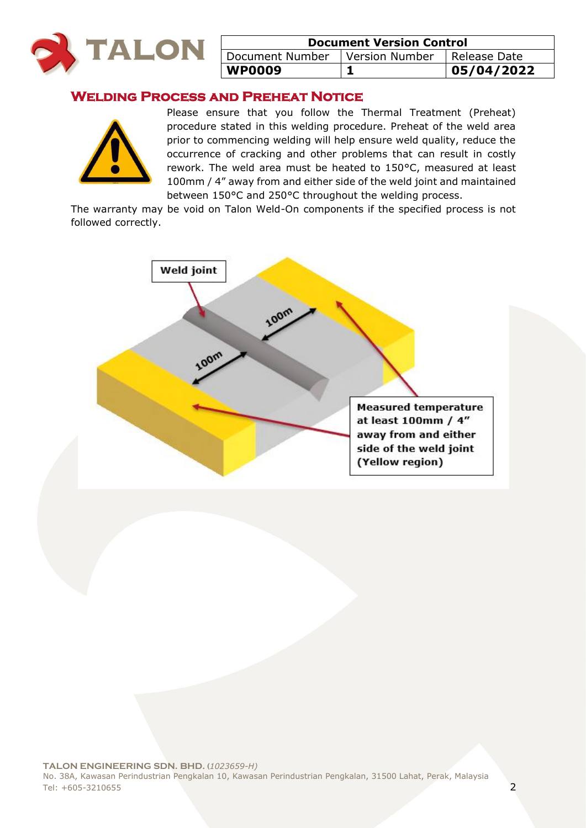

| <b>Document Version Control</b>  |  |              |
|----------------------------------|--|--------------|
| Document Number   Version Number |  | Release Date |
| <b>WP0009</b>                    |  | 05/04/2022   |

## **Welding Process and Preheat Notice**



Please ensure that you follow the Thermal Treatment (Preheat) procedure stated in this welding procedure. Preheat of the weld area prior to commencing welding will help ensure weld quality, reduce the occurrence of cracking and other problems that can result in costly rework. The weld area must be heated to 150°C, measured at least 100mm / 4" away from and either side of the weld joint and maintained between 150°C and 250°C throughout the welding process.

The warranty may be void on Talon Weld-On components if the specified process is not followed correctly.

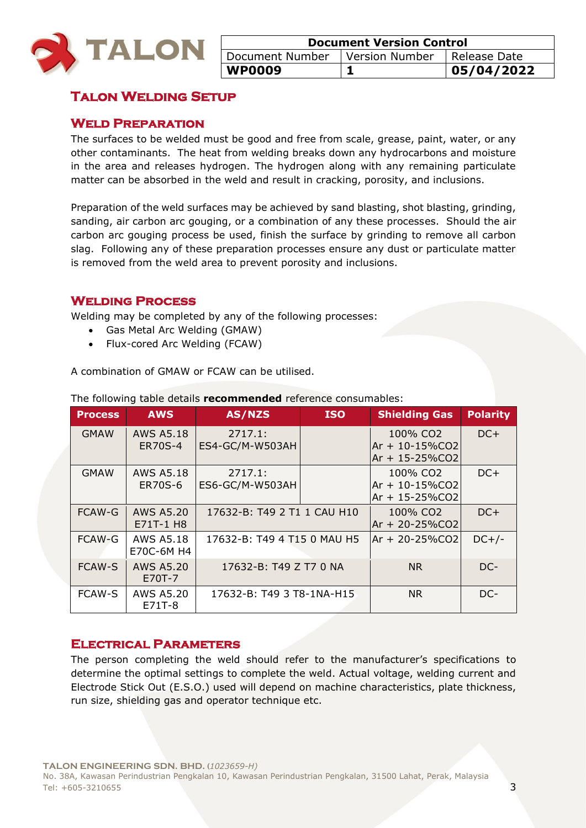

| <b>Document Version Control</b>  |  |              |
|----------------------------------|--|--------------|
| Document Number   Version Number |  | Release Date |
| <b>WP0009</b>                    |  | 105/04/2022  |

# **Talon Welding Setup**

#### **Weld Preparation**

The surfaces to be welded must be good and free from scale, grease, paint, water, or any other contaminants. The heat from welding breaks down any hydrocarbons and moisture in the area and releases hydrogen. The hydrogen along with any remaining particulate matter can be absorbed in the weld and result in cracking, porosity, and inclusions.

Preparation of the weld surfaces may be achieved by sand blasting, shot blasting, grinding, sanding, air carbon arc gouging, or a combination of any these processes. Should the air carbon arc gouging process be used, finish the surface by grinding to remove all carbon slag. Following any of these preparation processes ensure any dust or particulate matter is removed from the weld area to prevent porosity and inclusions.

#### **Welding Process**

Welding may be completed by any of the following processes:

- Gas Metal Arc Welding (GMAW)
- Flux-cored Arc Welding (FCAW)

A combination of GMAW or FCAW can be utilised.

| <b>Process</b> | <b>AWS</b>                     | AS/NZS                      | <b>ISO</b> | <b>Shielding Gas</b>                                    | <b>Polarity</b> |
|----------------|--------------------------------|-----------------------------|------------|---------------------------------------------------------|-----------------|
| <b>GMAW</b>    | <b>AWS A5.18</b><br>ER70S-4    | 2717.1:<br>ES4-GC/M-W503AH  |            | 100% CO2<br>$Ar + 10 - 15\%$ CO2<br>Ar + 15-25%CO2      | $DC+$           |
| <b>GMAW</b>    | <b>AWS A5.18</b><br>ER70S-6    | 2717.1:<br>ES6-GC/M-W503AH  |            | 100% CO2<br>$Ar + 10 - 15\%$ CO2<br>$Ar + 15 - 25\%CO2$ | $DC+$           |
| <b>FCAW-G</b>  | AWS A5.20<br>E71T-1 H8         | 17632-B: T49 2 T1 1 CAU H10 |            | 100% CO <sub>2</sub><br>Ar + 20-25%CO2                  | $DC+$           |
| <b>FCAW-G</b>  | <b>AWS A5.18</b><br>E70C-6M H4 | 17632-B: T49 4 T15 0 MAU H5 |            | Ar + 20-25%CO2                                          | $DC+/-$         |
| <b>FCAW-S</b>  | <b>AWS A5.20</b><br>E70T-7     | 17632-B: T49 Z T7 0 NA      |            | <b>NR</b>                                               | DC-             |
| <b>FCAW-S</b>  | AWS A5.20<br>E71T-8            | 17632-B: T49 3 T8-1NA-H15   |            | N <sub>R</sub>                                          | DC-             |

The following table details **recommended** reference consumables:

#### **Electrical Parameters**

The person completing the weld should refer to the manufacturer's specifications to determine the optimal settings to complete the weld. Actual voltage, welding current and Electrode Stick Out (E.S.O.) used will depend on machine characteristics, plate thickness, run size, shielding gas and operator technique etc.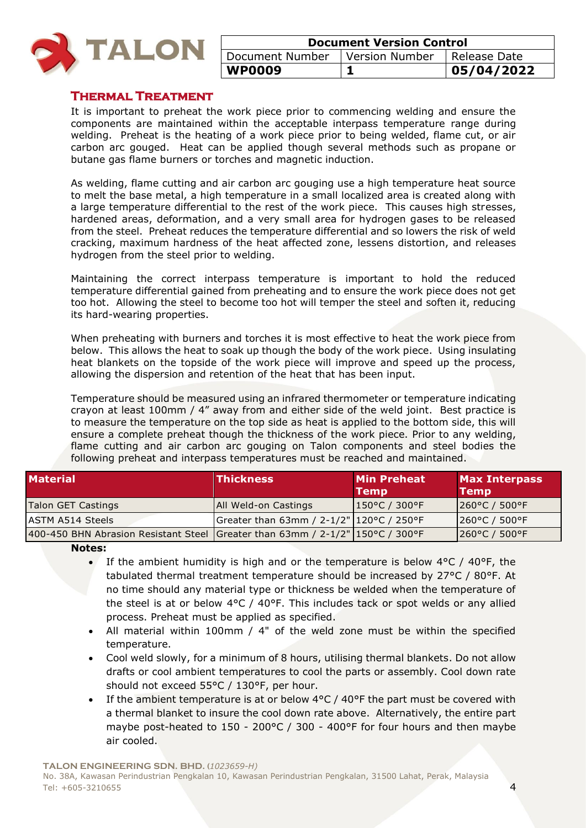

| <b>Document Version Control</b>                 |  |            |
|-------------------------------------------------|--|------------|
| Document Number   Version Number   Release Date |  |            |
| <b>WP0009</b>                                   |  | 05/04/2022 |

#### **Thermal Treatment**

It is important to preheat the work piece prior to commencing welding and ensure the components are maintained within the acceptable interpass temperature range during welding. Preheat is the heating of a work piece prior to being welded, flame cut, or air carbon arc gouged. Heat can be applied though several methods such as propane or butane gas flame burners or torches and magnetic induction.

As welding, flame cutting and air carbon arc gouging use a high temperature heat source to melt the base metal, a high temperature in a small localized area is created along with a large temperature differential to the rest of the work piece. This causes high stresses, hardened areas, deformation, and a very small area for hydrogen gases to be released from the steel. Preheat reduces the temperature differential and so lowers the risk of weld cracking, maximum hardness of the heat affected zone, lessens distortion, and releases hydrogen from the steel prior to welding.

Maintaining the correct interpass temperature is important to hold the reduced temperature differential gained from preheating and to ensure the work piece does not get too hot. Allowing the steel to become too hot will temper the steel and soften it, reducing its hard-wearing properties.

When preheating with burners and torches it is most effective to heat the work piece from below. This allows the heat to soak up though the body of the work piece. Using insulating heat blankets on the topside of the work piece will improve and speed up the process, allowing the dispersion and retention of the heat that has been input.

Temperature should be measured using an infrared thermometer or temperature indicating crayon at least 100mm / 4" away from and either side of the weld joint. Best practice is to measure the temperature on the top side as heat is applied to the bottom side, this will ensure a complete preheat though the thickness of the work piece. Prior to any welding, flame cutting and air carbon arc gouging on Talon components and steel bodies the following preheat and interpass temperatures must be reached and maintained.

| <b>Material</b>                                                               | <b>Thickness</b>                         | <b>Min Preheat</b><br>Temp          | <b>Max Interpass</b><br><b>Temp</b> |
|-------------------------------------------------------------------------------|------------------------------------------|-------------------------------------|-------------------------------------|
| Talon GET Castings                                                            | All Weld-on Castings                     | $1150^{\circ}$ C / 300 $^{\circ}$ F | $ 260^{\circ}$ C / 500°F            |
| <b>ASTM A514 Steels</b>                                                       | Greater than 63mm / 2-1/2" 120°C / 250°F |                                     | $[260^{\circ}C / 500^{\circ}F]$     |
| 400-450 BHN Abrasion Resistant Steel Greater than 63mm / 2-1/2" 150°C / 300°F |                                          |                                     | 260°C / 500°F                       |

**Notes:** 

- If the ambient humidity is high and or the temperature is below  $4^{\circ}C$  /  $40^{\circ}F$ , the tabulated thermal treatment temperature should be increased by 27°C / 80°F. At no time should any material type or thickness be welded when the temperature of the steel is at or below  $4^{\circ}C$  /  $40^{\circ}F$ . This includes tack or spot welds or any allied process. Preheat must be applied as specified.
- All material within 100mm / 4" of the weld zone must be within the specified temperature.
- Cool weld slowly, for a minimum of 8 hours, utilising thermal blankets. Do not allow drafts or cool ambient temperatures to cool the parts or assembly. Cool down rate should not exceed 55°C / 130°F, per hour.
- If the ambient temperature is at or below  $4^{\circ}C/40^{\circ}F$  the part must be covered with a thermal blanket to insure the cool down rate above. Alternatively, the entire part maybe post-heated to 150 - 200°C / 300 - 400°F for four hours and then maybe air cooled.